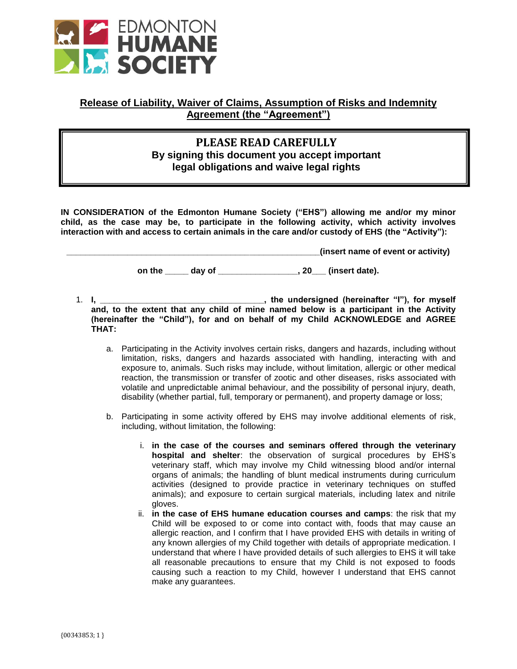

## **Release of Liability, Waiver of Claims, Assumption of Risks and Indemnity Agreement (the "Agreement")**

## **Children Meet and Breet By signing this document you accept important PLEASE READ CAREFULLY legal obligations and waive legal rights**

**IN CONSIDERATION of the Edmonton Humane Society ("EHS") allowing me and/or my minor child, as the case may be, to participate in the following activity, which activity involves interaction with and access to certain animals in the care and/or custody of EHS (the "Activity"):** 

**\_\_\_\_\_\_\_\_\_\_\_\_\_\_\_\_\_\_\_\_\_\_\_\_\_\_\_\_\_\_\_\_\_\_\_\_\_\_\_\_\_\_\_\_\_\_\_\_\_\_\_\_\_\_(insert name of event or activity)** 

on the day of the day of the set of the set of the set of the set of the set of the set of the set of the set o

1. **I, \_\_\_\_\_\_\_\_\_\_\_\_\_\_\_\_\_\_\_\_\_\_\_\_\_\_\_\_\_\_\_\_\_\_\_, the undersigned (hereinafter "I"), for myself** and, to the extent that any child of mine named below is a participant in the Activity **(hereinafter the "Child"), for and on behalf of my Child ACKNOWLEDGE and AGREE THAT:**

- a. Participating in the Activity involves certain risks, dangers and hazards, including without limitation, risks, dangers and hazards associated with handling, interacting with and exposure to, animals. Such risks may include, without limitation, allergic or other medical reaction, the transmission or transfer of zootic and other diseases, risks associated with volatile and unpredictable animal behaviour, and the possibility of personal injury, death, disability (whether partial, full, temporary or permanent), and property damage or loss;
- b. Participating in some activity offered by EHS may involve additional elements of risk, including, without limitation, the following:
	- i. **in the case of the courses and seminars offered through the veterinary hospital and shelter**: the observation of surgical procedures by EHS's veterinary staff, which may involve my Child witnessing blood and/or internal organs of animals; the handling of blunt medical instruments during curriculum activities (designed to provide practice in veterinary techniques on stuffed animals); and exposure to certain surgical materials, including latex and nitrile gloves.
	- ii. **in the case of EHS humane education courses and camps**: the risk that my Child will be exposed to or come into contact with, foods that may cause an allergic reaction, and I confirm that I have provided EHS with details in writing of any known allergies of my Child together with details of appropriate medication. I understand that where I have provided details of such allergies to EHS it will take all reasonable precautions to ensure that my Child is not exposed to foods causing such a reaction to my Child, however I understand that EHS cannot make any guarantees.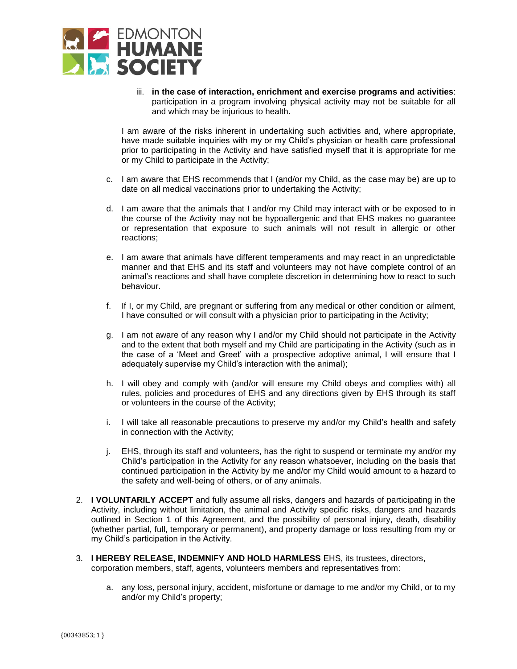

iii. **in the case of interaction, enrichment and exercise programs and activities**: participation in a program involving physical activity may not be suitable for all and which may be injurious to health.

I am aware of the risks inherent in undertaking such activities and, where appropriate, have made suitable inquiries with my or my Child's physician or health care professional prior to participating in the Activity and have satisfied myself that it is appropriate for me or my Child to participate in the Activity;

- c. I am aware that EHS recommends that I (and/or my Child, as the case may be) are up to date on all medical vaccinations prior to undertaking the Activity;
- d. I am aware that the animals that I and/or my Child may interact with or be exposed to in the course of the Activity may not be hypoallergenic and that EHS makes no guarantee or representation that exposure to such animals will not result in allergic or other reactions;
- e. I am aware that animals have different temperaments and may react in an unpredictable manner and that EHS and its staff and volunteers may not have complete control of an animal's reactions and shall have complete discretion in determining how to react to such behaviour.
- f. If I, or my Child, are pregnant or suffering from any medical or other condition or ailment, I have consulted or will consult with a physician prior to participating in the Activity;
- g. I am not aware of any reason why I and/or my Child should not participate in the Activity and to the extent that both myself and my Child are participating in the Activity (such as in the case of a 'Meet and Greet' with a prospective adoptive animal, I will ensure that I adequately supervise my Child's interaction with the animal);
- h. I will obey and comply with (and/or will ensure my Child obeys and complies with) all rules, policies and procedures of EHS and any directions given by EHS through its staff or volunteers in the course of the Activity;
- i. I will take all reasonable precautions to preserve my and/or my Child's health and safety in connection with the Activity;
- j. EHS, through its staff and volunteers, has the right to suspend or terminate my and/or my Child's participation in the Activity for any reason whatsoever, including on the basis that continued participation in the Activity by me and/or my Child would amount to a hazard to the safety and well-being of others, or of any animals.
- 2. **I VOLUNTARILY ACCEPT** and fully assume all risks, dangers and hazards of participating in the Activity, including without limitation, the animal and Activity specific risks, dangers and hazards outlined in Section 1 of this Agreement, and the possibility of personal injury, death, disability (whether partial, full, temporary or permanent), and property damage or loss resulting from my or my Child's participation in the Activity.
- 3. **I HEREBY RELEASE, INDEMNIFY AND HOLD HARMLESS** EHS, its trustees, directors, corporation members, staff, agents, volunteers members and representatives from:
	- a. any loss, personal injury, accident, misfortune or damage to me and/or my Child, or to my and/or my Child's property;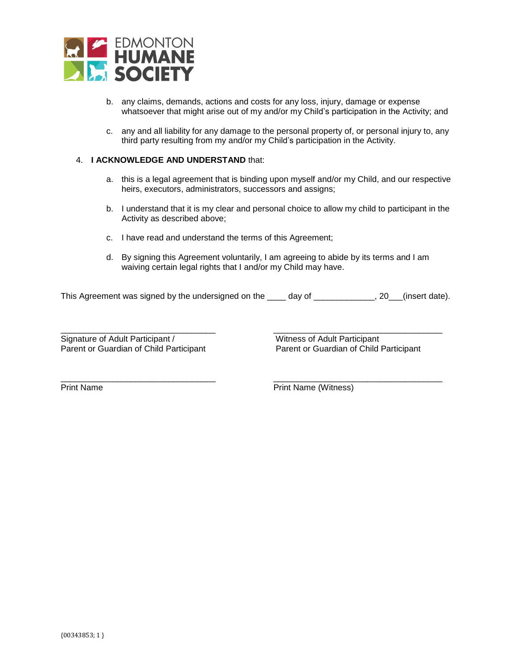

- b. any claims, demands, actions and costs for any loss, injury, damage or expense whatsoever that might arise out of my and/or my Child's participation in the Activity; and
- c. any and all liability for any damage to the personal property of, or personal injury to, any third party resulting from my and/or my Child's participation in the Activity.

## 4. **I ACKNOWLEDGE AND UNDERSTAND** that:

- a. this is a legal agreement that is binding upon myself and/or my Child, and our respective heirs, executors, administrators, successors and assigns;
- b. I understand that it is my clear and personal choice to allow my child to participant in the Activity as described above;
- c. I have read and understand the terms of this Agreement;
- d. By signing this Agreement voluntarily, I am agreeing to abide by its terms and I am waiving certain legal rights that I and/or my Child may have.

This Agreement was signed by the undersigned on the \_\_\_\_ day of \_\_\_\_\_\_\_\_\_\_\_\_, 20\_\_(insert date).

\_\_\_\_\_\_\_\_\_\_\_\_\_\_\_\_\_\_\_\_\_\_\_\_\_\_\_\_\_\_\_\_\_ \_\_\_\_\_\_\_\_\_\_\_\_\_\_\_\_\_\_\_\_\_\_\_\_\_\_\_\_\_\_\_\_\_\_\_\_

\_\_\_\_\_\_\_\_\_\_\_\_\_\_\_\_\_\_\_\_\_\_\_\_\_\_\_\_\_\_\_\_\_ \_\_\_\_\_\_\_\_\_\_\_\_\_\_\_\_\_\_\_\_\_\_\_\_\_\_\_\_\_\_\_\_\_\_\_\_ Signature of Adult Participant / Witness of Adult Participant

Parent or Guardian of Child Participant Parent or Guardian of Child Participant

Print Name **Print Name** (Witness)